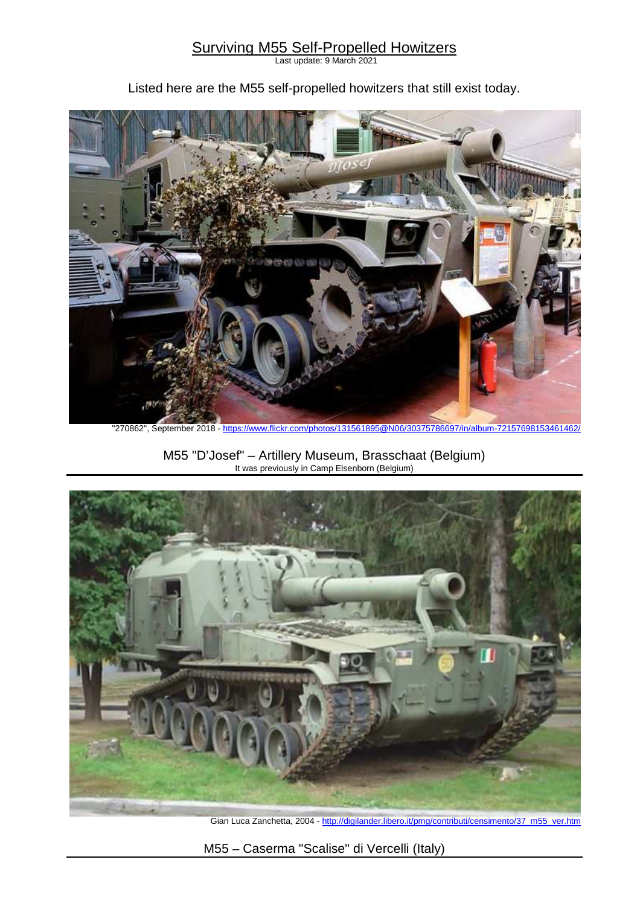## Surviving M55 Self-Propelled Howitzers

Last update: 9 March 2021

Listed here are the M55 self-propelled howitzers that still exist today.



"270862", September 2018 - https://www.flickr.com/photos/131561895@N06/30375786697/in/album-72157698153461462/

M55 "D'Josef" – Artillery Museum, Brasschaat (Belgium) It was previously in Camp Elsenborn (Belgium)



Gian Luca Zanchetta, 2004 - http://digilander.libero.it/pmg/contributi/censimento/37\_m55\_ver.htm

M55 – Caserma "Scalise" di Vercelli (Italy)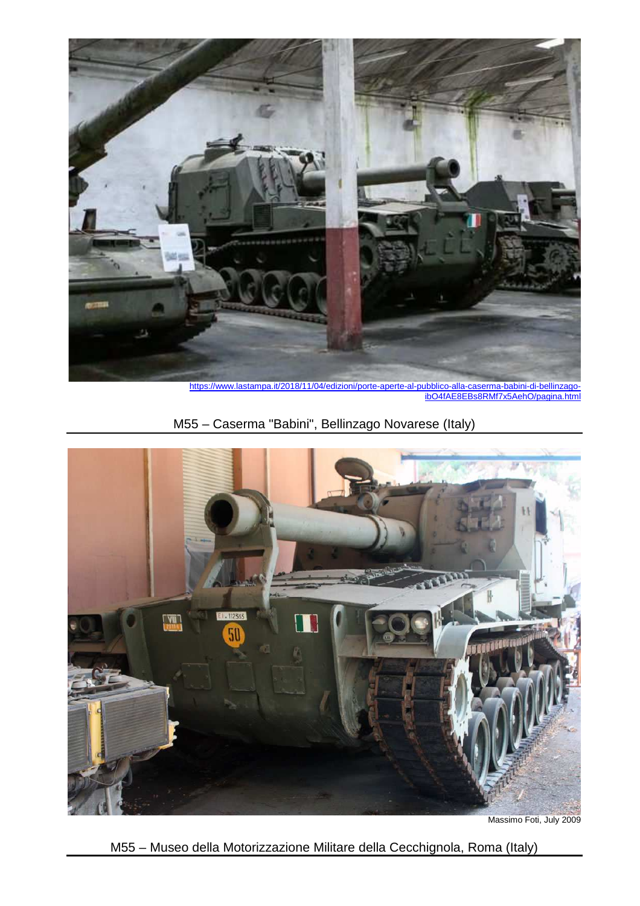

https://www.lastampa.it/2018/11/04/edizioni/porte-aperte-al-pubblico-alla-caserma-babini-di-bellinzagoibO4fAE8EBs8RMf7x5AehO/pagina.html

M55 – Caserma "Babini", Bellinzago Novarese (Italy)



Massimo Foti, July 2009

M55 – Museo della Motorizzazione Militare della Cecchignola, Roma (Italy)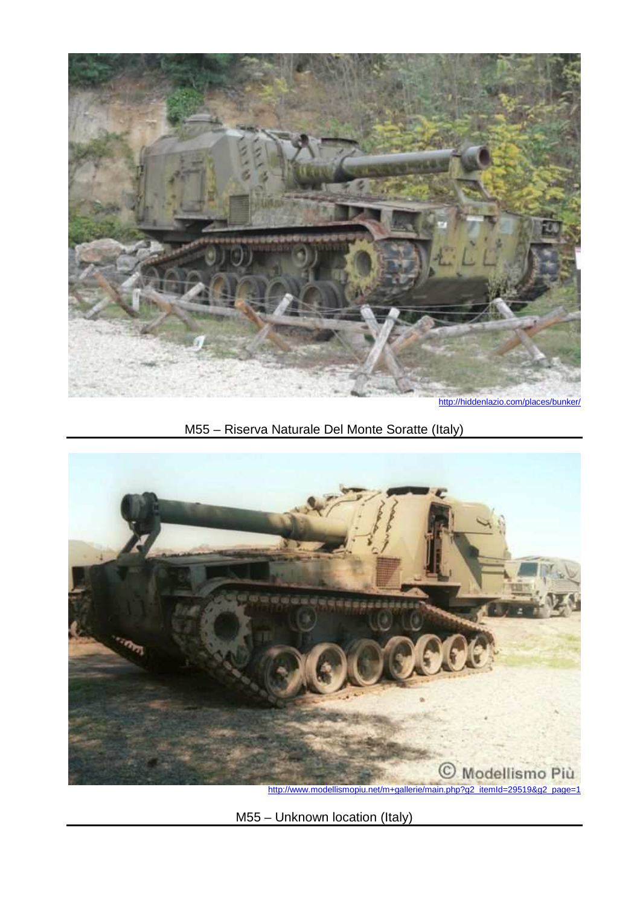

http://hiddenlazio.com/places/bunker/

## M55 – Riserva Naturale Del Monte Soratte (Italy)



M55 – Unknown location (Italy)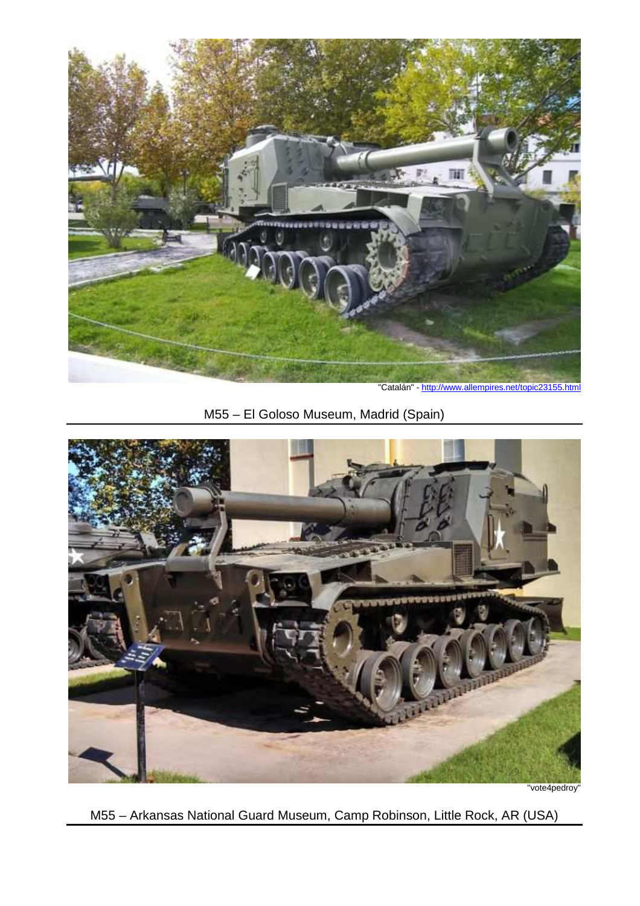

"Catalán" - http://www.allempires.net/topic23155.html

## M55 – El Goloso Museum, Madrid (Spain)



"vote4pedroy"

M55 – Arkansas National Guard Museum, Camp Robinson, Little Rock, AR (USA)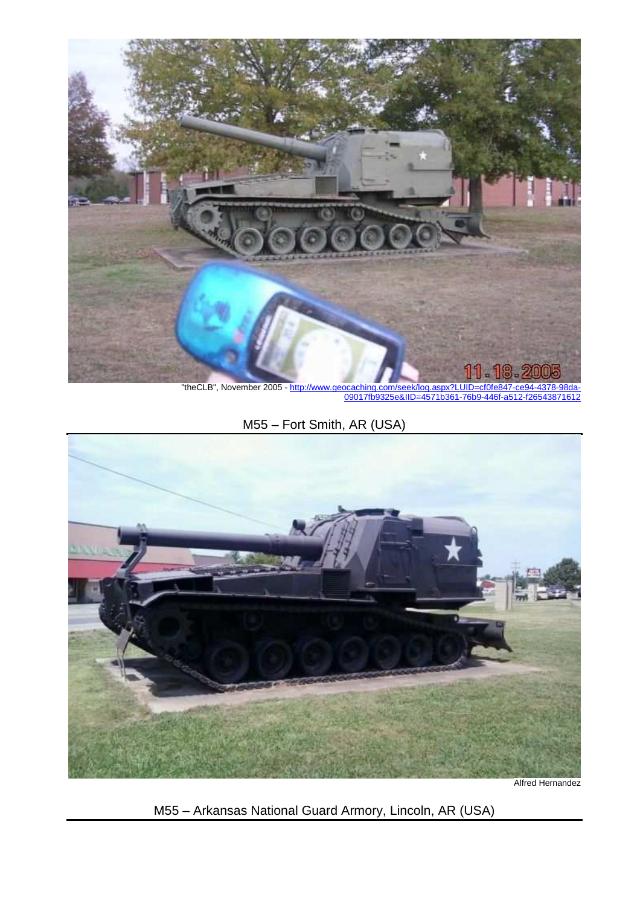

"theCLB", November 2005 - http://www.geo 00017fb9325e&IID

M55 – Fort Smith, AR (USA)



Alfred Hernandez

M55 – Arkansas National Guard Armory, Lincoln, AR (USA)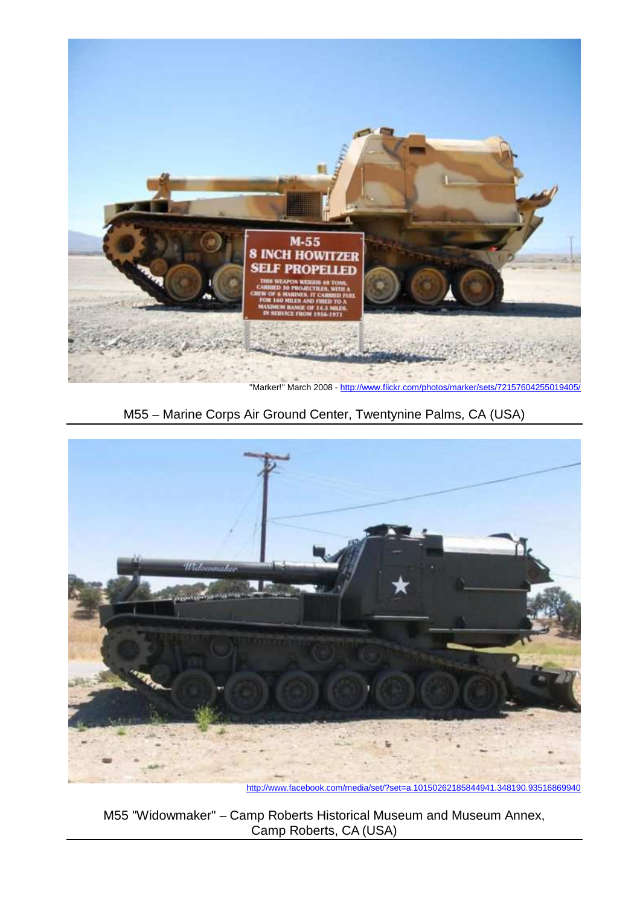

"Marker!" March 2008 - http://www.flickr.com/photos/marker/sets/72157604255019405.

M55 – Marine Corps Air Ground Center, Twentynine Palms, CA (USA)



http://www.facebook.com/media/set/?set=a.10150262185844941.348190.93516869940

M55 "Widowmaker" – Camp Roberts Historical Museum and Museum Annex, Camp Roberts, CA (USA)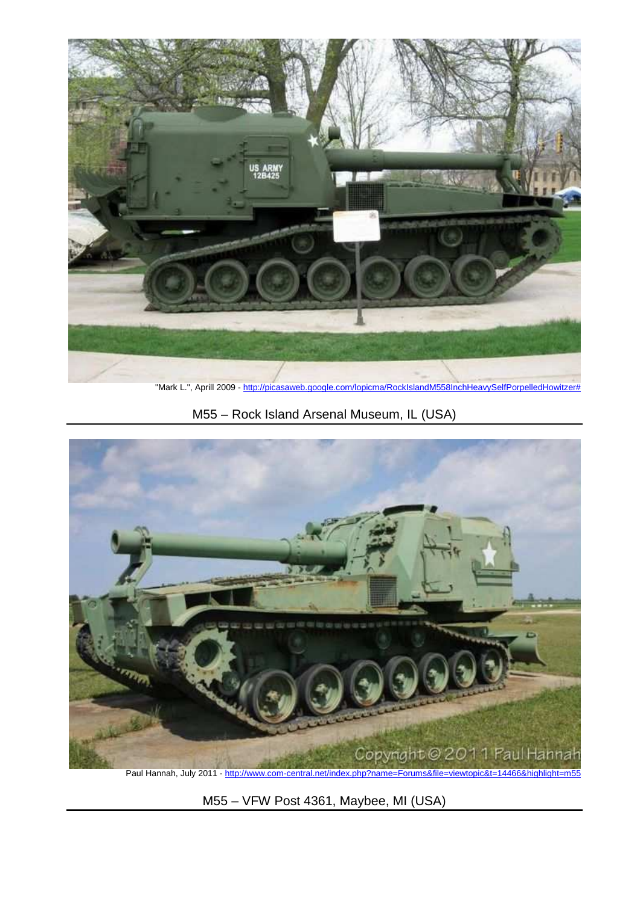

"Mark L.", Aprill 2009 - http://picasaweb.google.com/lopicma/RockIslandM558InchHeavySelfPorpelledHowitzer#

M55 – Rock Island Arsenal Museum, IL (USA)



Paul Hannah, July 2011 - http://www.com-central.net/index.php?name=Forums&file=viewtopic&t=14466&highlight=m55

M55 – VFW Post 4361, Maybee, MI (USA)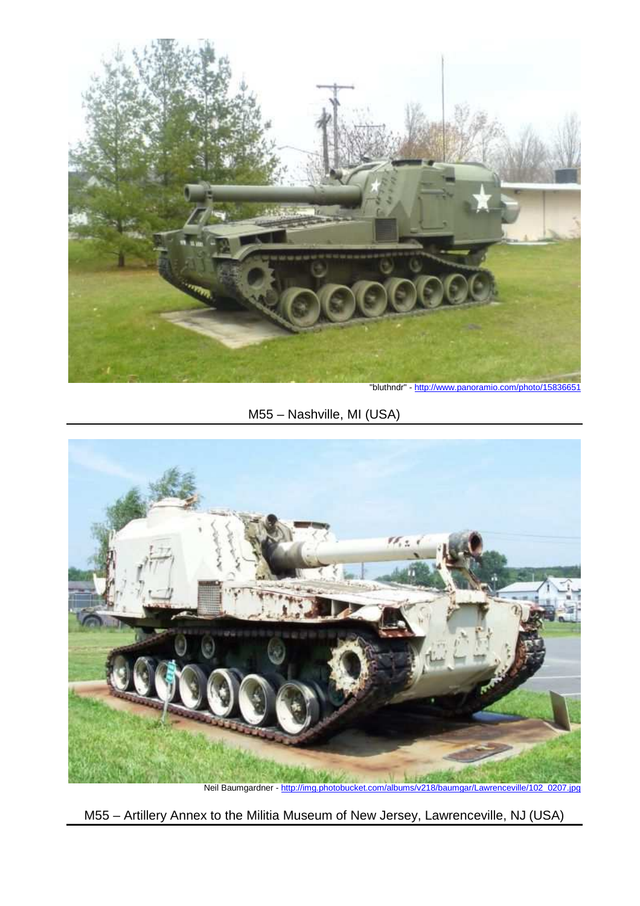

"bluthndr" - http://www.panoramio.com/photo/15836651

M55 – Nashville, MI (USA)



Neil Baumgardner - http://img.photobucket.com/albums/v218/baumgar/Lawrenceville/102\_0207.jpg

M55 – Artillery Annex to the Militia Museum of New Jersey, Lawrenceville, NJ (USA)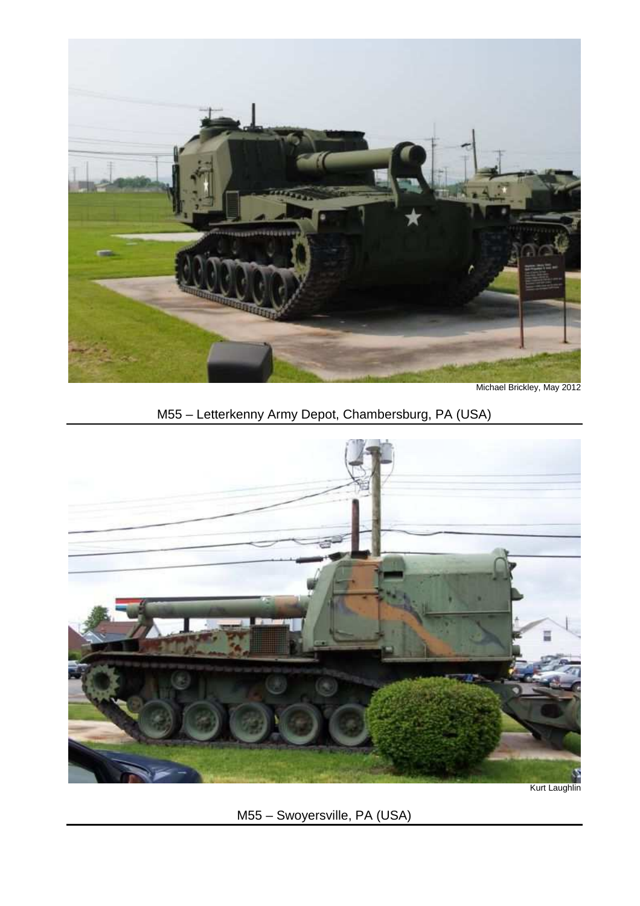

Michael Brickley, May 2012

M55 – Letterkenny Army Depot, Chambersburg, PA (USA)



Kurt Laughlin

M55 – Swoyersville, PA (USA)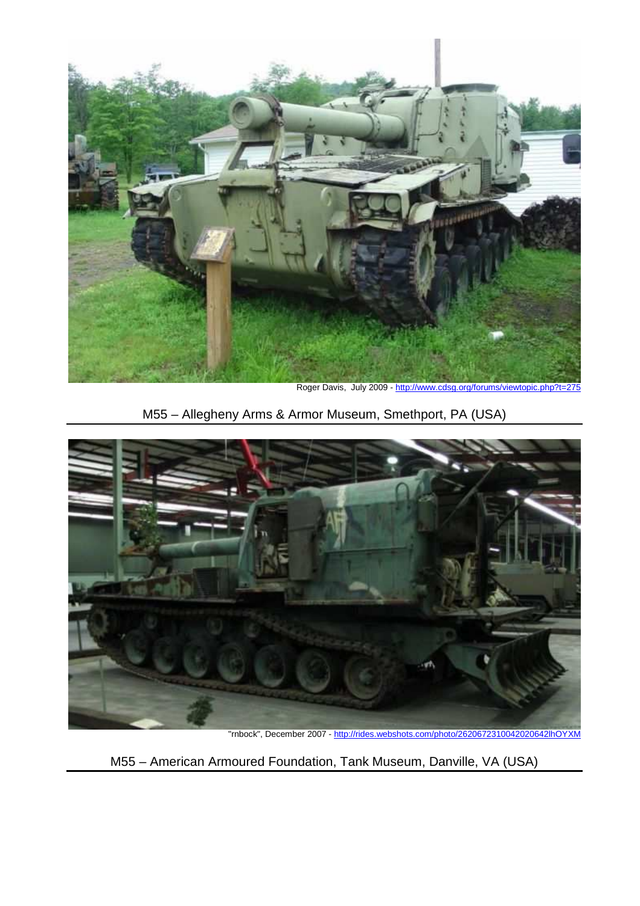

Roger Davis, July 2009 - http://www.cdsg.org/forums/viewtopic.php?t=275

M55 – Allegheny Arms & Armor Museum, Smethport, PA (USA)



"rnbock", December 2007 - http://rides.webshots.com/photo/2620672310042020642lhOYXM

M55 – American Armoured Foundation, Tank Museum, Danville, VA (USA)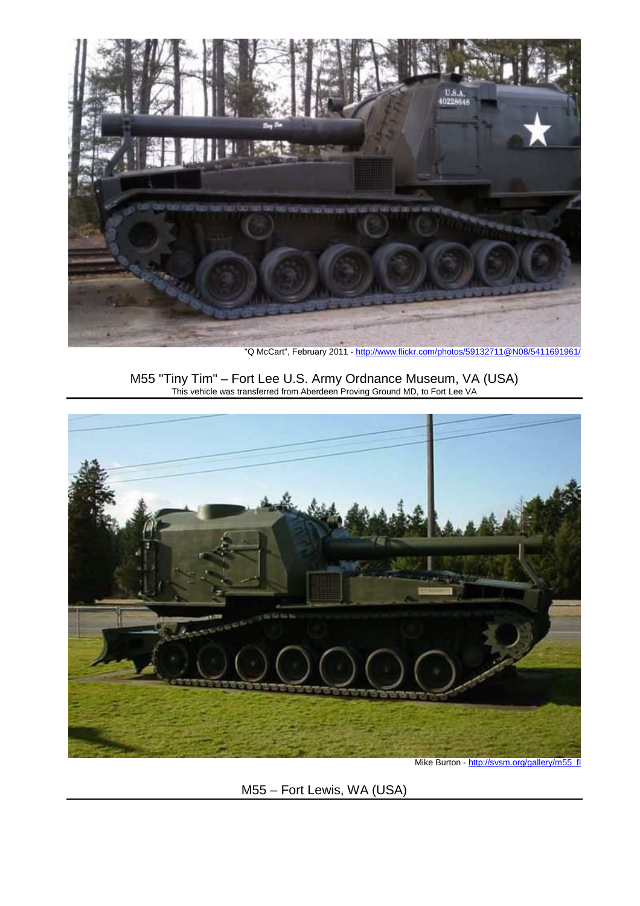

"Q McCart", February 2011 - http://www.flickr.com/photos/59132711@N08/5411691961/

M55 "Tiny Tim" – Fort Lee U.S. Army Ordnance Museum, VA (USA) This vehicle was transferred from Aberdeen Proving Ground MD, to Fort Lee VA



Mike Burton - http://svsm.org/gallery/m55\_fl

M55 – Fort Lewis, WA (USA)